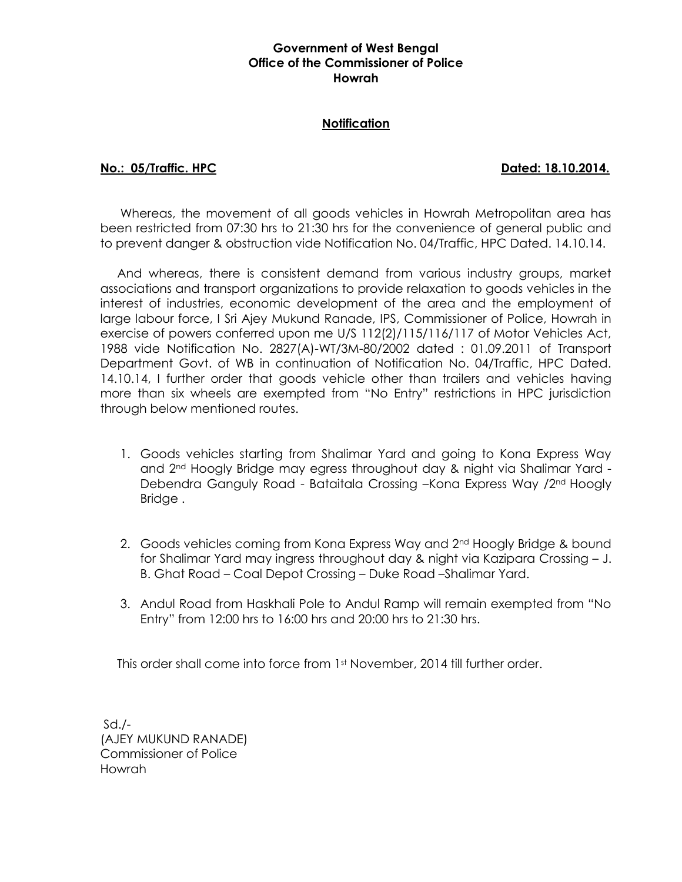### **Government of West Bengal Office of the Commissioner of Police Howrah**

### **Notification**

### **No.: 05/Traffic. HPC Dated: 18.10.2014.**

Whereas, the movement of all goods vehicles in Howrah Metropolitan area has been restricted from 07:30 hrs to 21:30 hrs for the convenience of general public and to prevent danger & obstruction vide Notification No. 04/Traffic, HPC Dated. 14.10.14.

 And whereas, there is consistent demand from various industry groups, market associations and transport organizations to provide relaxation to goods vehicles in the interest of industries, economic development of the area and the employment of large labour force, I Sri Ajey Mukund Ranade, IPS, Commissioner of Police, Howrah in exercise of powers conferred upon me U/S 112(2)/115/116/117 of Motor Vehicles Act, 1988 vide Notification No. 2827(A)-WT/3M-80/2002 dated : 01.09.2011 of Transport Department Govt. of WB in continuation of Notification No. 04/Traffic, HPC Dated. 14.10.14, I further order that goods vehicle other than trailers and vehicles having more than six wheels are exempted from "No Entry" restrictions in HPC jurisdiction through below mentioned routes.

- 1. Goods vehicles starting from Shalimar Yard and going to Kona Express Way and 2nd Hoogly Bridge may egress throughout day & night via Shalimar Yard - Debendra Ganguly Road - Bataitala Crossing –Kona Express Way /2nd Hoogly Bridge .
- 2. Goods vehicles coming from Kona Express Way and 2<sup>nd</sup> Hoogly Bridge & bound for Shalimar Yard may ingress throughout day & night via Kazipara Crossing – J. B. Ghat Road – Coal Depot Crossing – Duke Road –Shalimar Yard.
- 3. Andul Road from Haskhali Pole to Andul Ramp will remain exempted from "No Entry" from 12:00 hrs to 16:00 hrs and 20:00 hrs to 21:30 hrs.

This order shall come into force from 1st November, 2014 till further order.

 $Sd$ ./-(AJEY MUKUND RANADE) Commissioner of Police Howrah